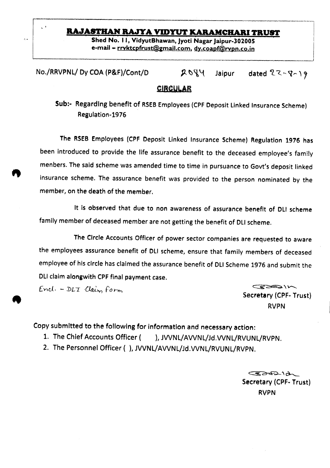# **RAJASTHAN RAJYA VIDYUT KARAMCHARI TRUST**

Shed No. II, VidyutBhawan, Jyoti Nagar Jaipur-302005 e-mail - rryktcpfrust@gmail.com, dy.coapf@rvpn.co.in

 $No./RRVPNL/ Dy COA (P\&F)/Cont/D$   $Q\&Q\&Jaipur$ dated  $22 - 8 - 19$ 

## **CIRCULAR**

Sub:- Regarding benefit of RSEB Employees (CPF Deposit Linked Insurance Scheme) Regulation~1976

The RSEB Employees (CPF Deposit Linked Insurance Scheme) Regulation 1976 has been introduced to provide the life assurance benefit to the deceased employee's fami!y menbers.The said scheme was amended time to time in pursuance to Govt's deposit linked insurance scheme. The assurance benefit was provided to the person nominated by the member, on the death of the member.

It Is observed that due to non awareness of assurance benefit of DLI scheme family member of deceased member are not getting the benefit of DLI scheme.

The Circle Accounts Officer of power sector companies are requested to aware the employees assurance benefit of DLI scheme, ensure that family members of deceased employee of his circle has claimed the assurance benefit of DLI Scheme 1976 and submit the OLI claim alongwith CPF final payment case.

 $End. - DLT$  *Claim* form

k.

Secretary (CPF- Trust) RVPN

 $\overline{\phantom{a}}$ 

Copy submitted to the following for information and necessary action:

- 1. The Chief Accounts Officer ( ), JWNL/AVVNL/Jd,VVNL/RVUNL/RVPN.
- 2. The Personnel Officer ( ), JVVNL/AVVNL/Jd.VVNL/RVUNL/RVPN.

 $722212$ Secretary (CPF. Trust) RVPN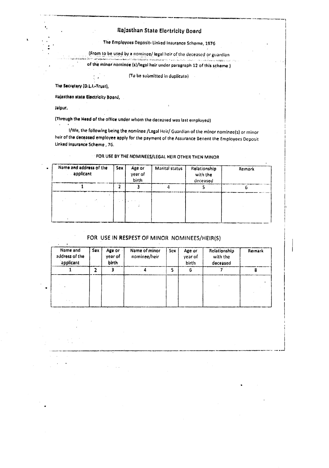## Rajasthan State Electricity Board

The Employees Deposit- Linked Insurance Scheme, 1976

(From to be used by a nominee/ legal heir of the deceased or guardian a sentengan kalendar dan berjadi dan berjadi dan berjadi dalam sekali dan berjadi dan berjadi dan berjadi dan

of the minor nominoe (s)/legal heir under paragraph 12 of this schome )

(To be submitted in duplicate)

The Secretary (D.L.I.-Trust),

Rajasthan state Electricity Board,

 $\mathcal{L}_{\mathcal{A}}$  $\cdot$ 

Jaipur,

(Through the Head of the office under whom the deceased was last employed)

I/We, the following being the nominee /Legal Heir/ Guardian of the minor nominee(s) or minor heir of the deceased employee apply for the payment of the Assurance Benent the Employees Deposit Linked Insurance Scheme, 76.

# FOR USE BY THE NOMINEES/LEGAL HEIR OTHER THEN MINOR

| Name and address of the<br>applicant | <b>Sex</b> | Age or<br>vear of<br><b>birth</b> | Marital status | Relationship<br>with the<br>deceased | Remark |  |
|--------------------------------------|------------|-----------------------------------|----------------|--------------------------------------|--------|--|
|                                      |            |                                   |                |                                      |        |  |
|                                      |            | $\mathcal{L}_{\mathcal{A}}$       |                |                                      |        |  |

### FOR USE IN RESPEST OF MINOR NOMINEES/HEIR(S)

| Name and<br>address of the<br>applicant | Sex | Age or<br>year of<br>birth | Name of minor<br>nominee/heir | Sex | Age or<br>year of<br>birth | Relationship<br>with the<br>deceased | Remark |
|-----------------------------------------|-----|----------------------------|-------------------------------|-----|----------------------------|--------------------------------------|--------|
|                                         |     |                            |                               |     |                            |                                      |        |
|                                         |     |                            |                               |     |                            |                                      |        |
|                                         |     |                            |                               |     |                            |                                      |        |
|                                         |     |                            |                               |     |                            |                                      |        |